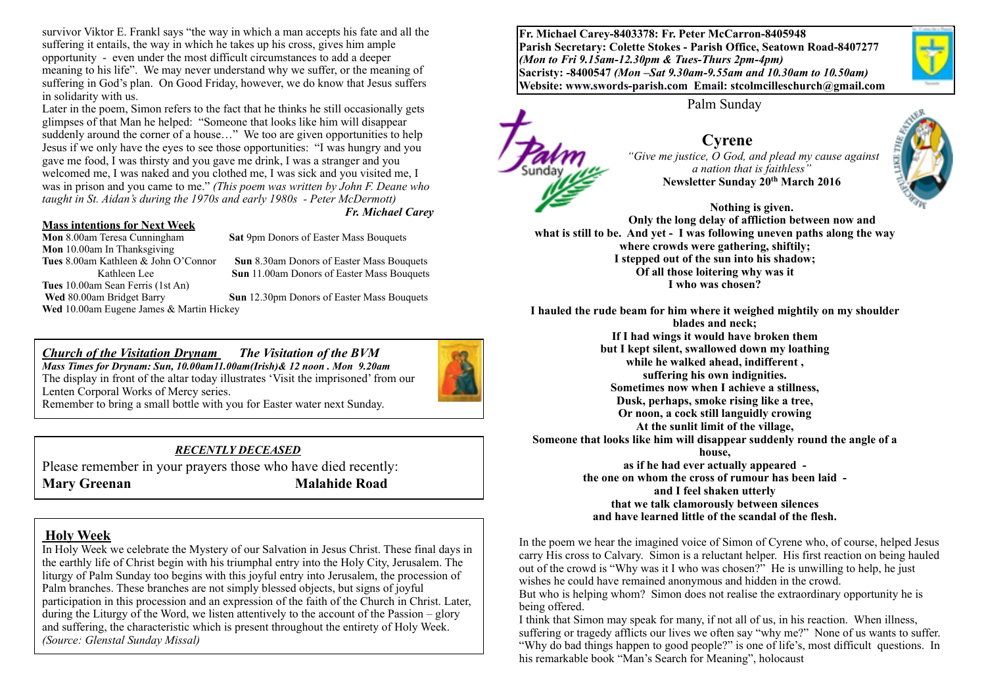survivor Viktor E. Frankl says "the way in which a man accepts his fate and all the suffering it entails, the way in which he takes up his cross, gives him ample opportunity - even under the most difficult circumstances to add a deeper meaning to his life". We may never understand why we suffer, or the meaning of suffering in God's plan. On Good Friday, however, we do know that Jesus suffers in solidarity with us.

Later in the poem, Simon refers to the fact that he thinks he still occasionally gets glimpses of that Man he helped: "Someone that looks like him will disappear suddenly around the corner of a house..." We too are given opportunities to help Jesus if we only have the eyes to see those opportunities: "I was hungry and you gave me food, I was thirsty and you gave me drink, I was a stranger and you welcomed me, I was naked and you clothed me, I was sick and you visited me, I was in prison and you came to me." *(This poem was written by John F. Deane who taught in St. Aidan's during the 1970s and early 1980s - Peter McDermott) Fr. Michael Carey*

#### **Mass intentions for Next Week**

**Mon** 10.00am In Thanksgiving<br>Tues 8.00am Kathleen & John O'Connor **Tues** 10.00am Sean Ferris (1st An) **Wed** 10.00am Eugene James & Martin Hickey

**Mon** 8.00am Teresa Cunningham **Sat** 9pm Donors of Easter Mass Bouquets

**Sun** 8.30am Donors of Easter Mass Bouquets Kathleen Lee **Sun** 11.00am Donors of Easter Mass Bouquets

**Wed** 80.00am Bridget Barry **Sun** 12.30pm Donors of Easter Mass Bouquets

*Church of the Visitation Drynam**The Visitation of the BVM Mass Times for Drynam: Sun, 10.00am11.00am(Irish)& 12 noon . Mon 9.20am*  The display in front of the altar today illustrates 'Visit the imprisoned' from our Lenten Corporal Works of Mercy series. Remember to bring a small bottle with you for Easter water next Sunday.

#### *RECENTLY DECEASED*

Please remember in your prayers those who have died recently: **Mary Greenan Malahide Road** 

#### **Holy Week**

In Holy Week we celebrate the Mystery of our Salvation in Jesus Christ. These final days in the earthly life of Christ begin with his triumphal entry into the Holy City, Jerusalem. The liturgy of Palm Sunday too begins with this joyful entry into Jerusalem, the procession of Palm branches. These branches are not simply blessed objects, but signs of joyful participation in this procession and an expression of the faith of the Church in Christ. Later, during the Liturgy of the Word, we listen attentively to the account of the Passion – glory and suffering, the characteristic which is present throughout the entirety of Holy Week. *(Source: Glenstal Sunday Missal)*

**Fr. Michael Carey-8403378: Fr. Peter McCarron-8405948 Parish Secretary: Colette Stokes - Parish Office, Seatown Road-8407277**  *(Mon to Fri 9.15am-12.30pm & Tues-Thurs 2pm-4pm)*  **Sacristy: -8400547** *(Mon –Sat 9.30am-9.55am and 10.30am to 10.50am)* **Website: [www.swords-parish.com Email:](http://www.swords-parish.com%20%20email) stcolmcilleschurch@gmail.com**

Palm Sunday

#### **Cyrene**   *"Give me justice, O God, and plead my cause against a nation that is faithless"*  **Newsletter Sunday 20th March 2016**

**Nothing is given. Only the long delay of affliction between now and what is still to be. And yet - I was following uneven paths along the way where crowds were gathering, shiftily; I stepped out of the sun into his shadow; Of all those loitering why was it I who was chosen?** 

**I hauled the rude beam for him where it weighed mightily on my shoulder blades and neck; If I had wings it would have broken them but I kept silent, swallowed down my loathing while he walked ahead, indifferent , suffering his own indignities. Sometimes now when I achieve a stillness, Dusk, perhaps, smoke rising like a tree, Or noon, a cock still languidly crowing At the sunlit limit of the village, Someone that looks like him will disappear suddenly round the angle of a house, as if he had ever actually appeared the one on whom the cross of rumour has been laid and I feel shaken utterly that we talk clamorously between silences** 

**and have learned little of the scandal of the flesh.** 

In the poem we hear the imagined voice of Simon of Cyrene who, of course, helped Jesus carry His cross to Calvary. Simon is a reluctant helper. His first reaction on being hauled out of the crowd is "Why was it I who was chosen?" He is unwilling to help, he just wishes he could have remained anonymous and hidden in the crowd.

But who is helping whom? Simon does not realise the extraordinary opportunity he is being offered.

I think that Simon may speak for many, if not all of us, in his reaction. When illness, suffering or tragedy afflicts our lives we often say "why me?" None of us wants to suffer. "Why do bad things happen to good people?" is one of life's, most difficult questions. In his remarkable book "Man's Search for Meaning", holocaust